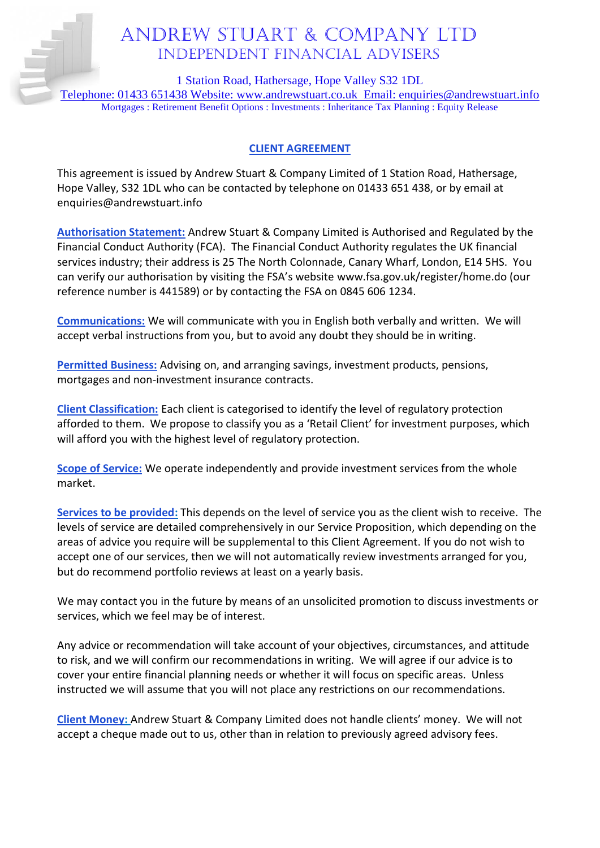# Andrew Stuart & Company Ltd Independent financial advisers

1 Station Road, Hathersage, Hope Valley S32 1DL

Telephone: 01433 651438 Website: [www.andrewstuart.co.uk](http://www.andrewstuart.co.uk/) Email: [enquiries@andrewstuart.info](mailto:enquiries@andrewstuart.info) Mortgages : Retirement Benefit Options : Investments : Inheritance Tax Planning : Equity Release

## **CLIENT AGREEMENT**

This agreement is issued by Andrew Stuart & Company Limited of 1 Station Road, Hathersage, Hope Valley, S32 1DL who can be contacted by telephone on 01433 651 438, or by email at enquiries@andrewstuart.info

**Authorisation Statement:** Andrew Stuart & Company Limited is Authorised and Regulated by the Financial Conduct Authority (FCA). The Financial Conduct Authority regulates the UK financial services industry; their address is 25 The North Colonnade, Canary Wharf, London, E14 5HS. You can verify our authorisation by visiting the FSA's website [www.fsa.gov.uk/register/](http://www.fsa.gov.uk/register)home.do (our reference number is 441589) or by contacting the FSA on 0845 606 1234.

**Communications:** We will communicate with you in English both verbally and written. We will accept verbal instructions from you, but to avoid any doubt they should be in writing.

**Permitted Business:** Advising on, and arranging savings, investment products, pensions, mortgages and non-investment insurance contracts.

**Client Classification:** Each client is categorised to identify the level of regulatory protection afforded to them. We propose to classify you as a 'Retail Client' for investment purposes, which will afford you with the highest level of regulatory protection.

**Scope of Service:** We operate independently and provide investment services from the whole market.

**Services to be provided:** This depends on the level of service you as the client wish to receive. The levels of service are detailed comprehensively in our Service Proposition, which depending on the areas of advice you require will be supplemental to this Client Agreement. If you do not wish to accept one of our services, then we will not automatically review investments arranged for you, but do recommend portfolio reviews at least on a yearly basis.

We may contact you in the future by means of an unsolicited promotion to discuss investments or services, which we feel may be of interest.

Any advice or recommendation will take account of your objectives, circumstances, and attitude to risk, and we will confirm our recommendations in writing. We will agree if our advice is to cover your entire financial planning needs or whether it will focus on specific areas. Unless instructed we will assume that you will not place any restrictions on our recommendations.

**Client Money:** Andrew Stuart & Company Limited does not handle clients' money. We will not accept a cheque made out to us, other than in relation to previously agreed advisory fees.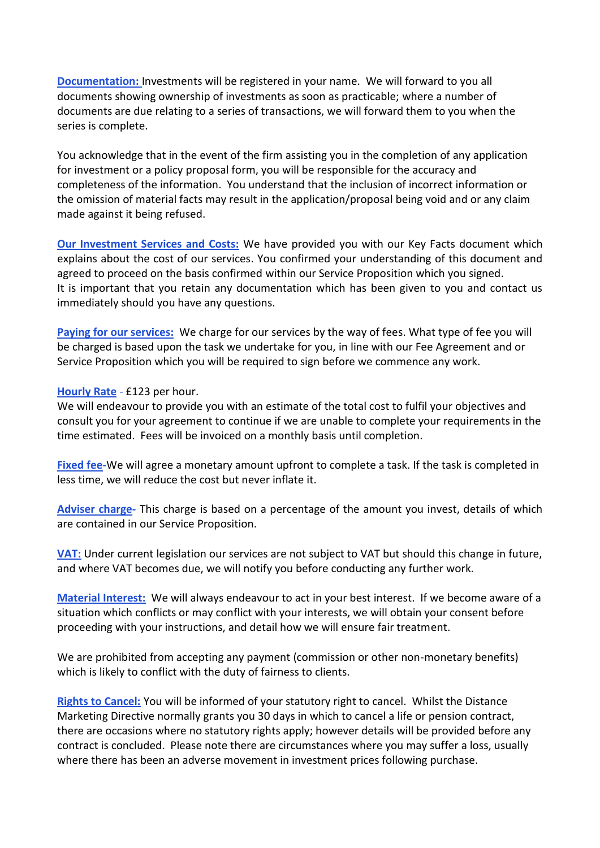**Documentation:** Investments will be registered in your name. We will forward to you all documents showing ownership of investments as soon as practicable; where a number of documents are due relating to a series of transactions, we will forward them to you when the series is complete.

You acknowledge that in the event of the firm assisting you in the completion of any application for investment or a policy proposal form, you will be responsible for the accuracy and completeness of the information. You understand that the inclusion of incorrect information or the omission of material facts may result in the application/proposal being void and or any claim made against it being refused.

**Our Investment Services and Costs:** We have provided you with our Key Facts document which explains about the cost of our services. You confirmed your understanding of this document and agreed to proceed on the basis confirmed within our Service Proposition which you signed. It is important that you retain any documentation which has been given to you and contact us immediately should you have any questions.

**Paying for our services:** We charge for our services by the way of fees. What type of fee you will be charged is based upon the task we undertake for you, in line with our Fee Agreement and or Service Proposition which you will be required to sign before we commence any work.

#### **Hourly Rate** - £123 per hour.

We will endeavour to provide you with an estimate of the total cost to fulfil your objectives and consult you for your agreement to continue if we are unable to complete your requirements in the time estimated. Fees will be invoiced on a monthly basis until completion.

**Fixed fee-**We will agree a monetary amount upfront to complete a task. If the task is completed in less time, we will reduce the cost but never inflate it.

**Adviser charge-** This charge is based on a percentage of the amount you invest, details of which are contained in our Service Proposition.

**VAT:** Under current legislation our services are not subject to VAT but should this change in future, and where VAT becomes due, we will notify you before conducting any further work.

**Material Interest:** We will always endeavour to act in your best interest. If we become aware of a situation which conflicts or may conflict with your interests, we will obtain your consent before proceeding with your instructions, and detail how we will ensure fair treatment.

We are prohibited from accepting any payment (commission or other non-monetary benefits) which is likely to conflict with the duty of fairness to clients.

**Rights to Cancel:** You will be informed of your statutory right to cancel. Whilst the Distance Marketing Directive normally grants you 30 days in which to cancel a life or pension contract, there are occasions where no statutory rights apply; however details will be provided before any contract is concluded. Please note there are circumstances where you may suffer a loss, usually where there has been an adverse movement in investment prices following purchase.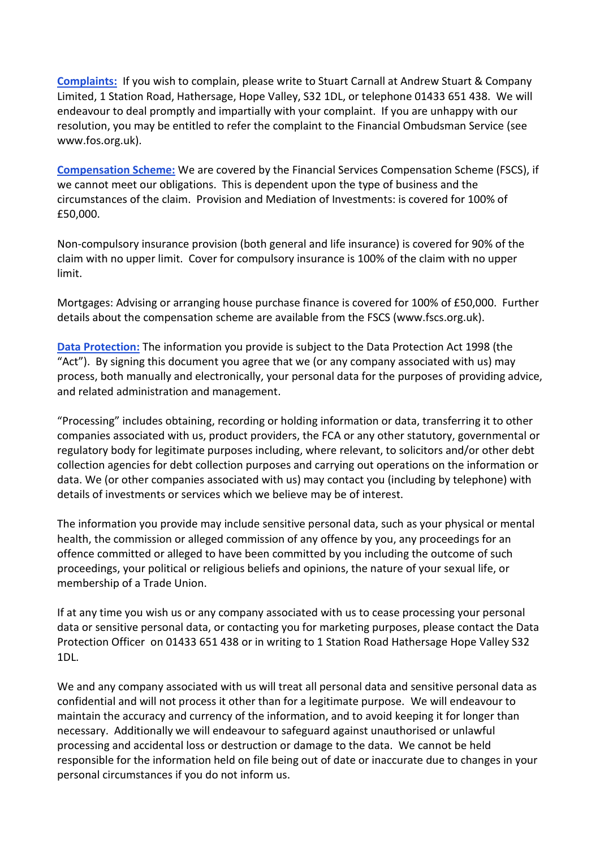**Complaints:** If you wish to complain, please write to Stuart Carnall at Andrew Stuart & Company Limited, 1 Station Road, Hathersage, Hope Valley, S32 1DL, or telephone 01433 651 438. We will endeavour to deal promptly and impartially with your complaint. If you are unhappy with our resolution, you may be entitled to refer the complaint to the Financial Ombudsman Service (see www.fos.org.uk).

**Compensation Scheme:** We are covered by the Financial Services Compensation Scheme (FSCS), if we cannot meet our obligations. This is dependent upon the type of business and the circumstances of the claim. Provision and Mediation of Investments: is covered for 100% of £50,000.

Non-compulsory insurance provision (both general and life insurance) is covered for 90% of the claim with no upper limit. Cover for compulsory insurance is 100% of the claim with no upper limit.

Mortgages: Advising or arranging house purchase finance is covered for 100% of £50,000. Further details about the compensation scheme are available from the FSCS (www.fscs.org.uk).

**Data Protection:** The information you provide is subject to the Data Protection Act 1998 (the "Act"). By signing this document you agree that we (or any company associated with us) may process, both manually and electronically, your personal data for the purposes of providing advice, and related administration and management.

"Processing" includes obtaining, recording or holding information or data, transferring it to other companies associated with us, product providers, the FCA or any other statutory, governmental or regulatory body for legitimate purposes including, where relevant, to solicitors and/or other debt collection agencies for debt collection purposes and carrying out operations on the information or data. We (or other companies associated with us) may contact you (including by telephone) with details of investments or services which we believe may be of interest.

The information you provide may include sensitive personal data, such as your physical or mental health, the commission or alleged commission of any offence by you, any proceedings for an offence committed or alleged to have been committed by you including the outcome of such proceedings, your political or religious beliefs and opinions, the nature of your sexual life, or membership of a Trade Union.

If at any time you wish us or any company associated with us to cease processing your personal data or sensitive personal data, or contacting you for marketing purposes, please contact the Data Protection Officer on 01433 651 438 or in writing to 1 Station Road Hathersage Hope Valley S32 1DL.

We and any company associated with us will treat all personal data and sensitive personal data as confidential and will not process it other than for a legitimate purpose. We will endeavour to maintain the accuracy and currency of the information, and to avoid keeping it for longer than necessary. Additionally we will endeavour to safeguard against unauthorised or unlawful processing and accidental loss or destruction or damage to the data. We cannot be held responsible for the information held on file being out of date or inaccurate due to changes in your personal circumstances if you do not inform us.